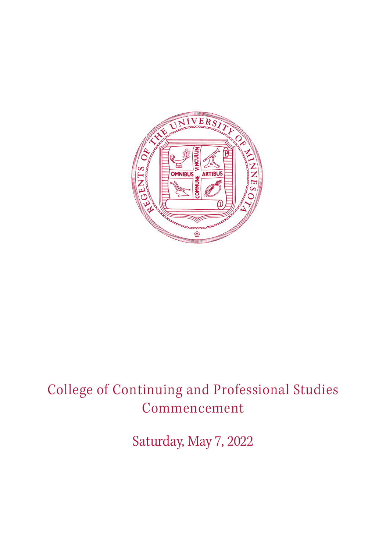

## College of Continuing and Professional Studies Commencement

Saturday, May 7, 2022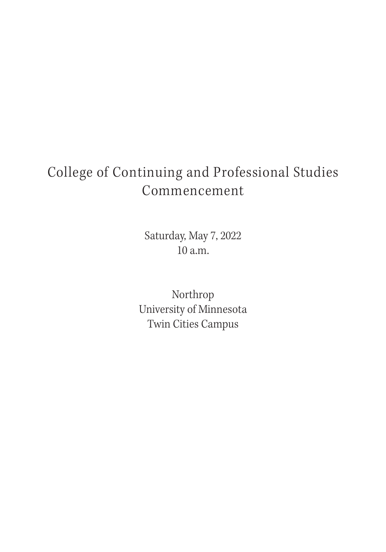## College of Continuing and Professional Studies Commencement

Saturday, May 7, 2022 10 a.m.

Northrop University of Minnesota Twin Cities Campus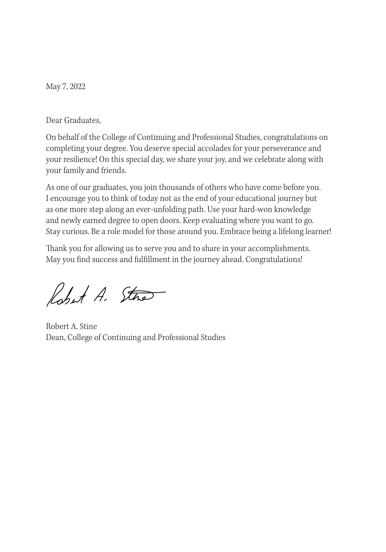May 7, 2022

Dear Graduates,

On behalf of the College of Continuing and Professional Studies, congratulations on completing your degree. You deserve special accolades for your perseverance and your resilience! On this special day, we share your joy, and we celebrate along with your family and friends.

As one of our graduates, you join thousands of others who have come before you. I encourage you to think of today not as the end of your educational journey but as one more step along an ever-unfolding path. Use your hard-won knowledge and newly earned degree to open doors. Keep evaluating where you want to go. Stay curious. Be a role model for those around you. Embrace being a lifelong learner!

Thank you for allowing us to serve you and to share in your accomplishments. May you find success and fulfillment in the journey ahead. Congratulations!

Robert A. Stre

Robert A. Stine Dean, College of Continuing and Professional Studies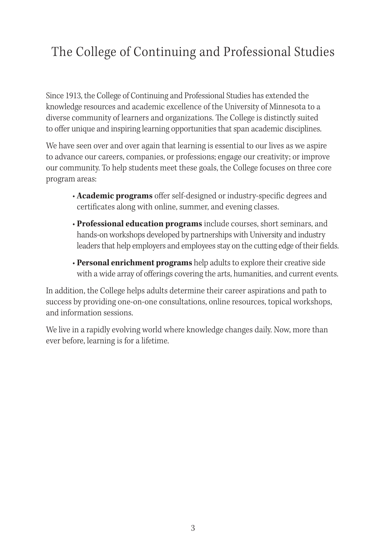### The College of Continuing and Professional Studies

Since 1913, the College of Continuing and Professional Studies has extended the knowledge resources and academic excellence of the University of Minnesota to a diverse community of learners and organizations. The College is distinctly suited to offer unique and inspiring learning opportunities that span academic disciplines.

We have seen over and over again that learning is essential to our lives as we aspire to advance our careers, companies, or professions; engage our creativity; or improve our community. To help students meet these goals, the College focuses on three core program areas:

- **Academic programs** offer self-designed or industry-specific degrees and certificates along with online, summer, and evening classes.
- **Professional education programs** include courses, short seminars, and hands-on workshops developed by partnerships with University and industry leaders that help employers and employees stay on the cutting edge of their fields.
- **Personal enrichment programs** help adults to explore their creative side with a wide array of offerings covering the arts, humanities, and current events.

In addition, the College helps adults determine their career aspirations and path to success by providing one-on-one consultations, online resources, topical workshops, and information sessions.

We live in a rapidly evolving world where knowledge changes daily. Now, more than ever before, learning is for a lifetime.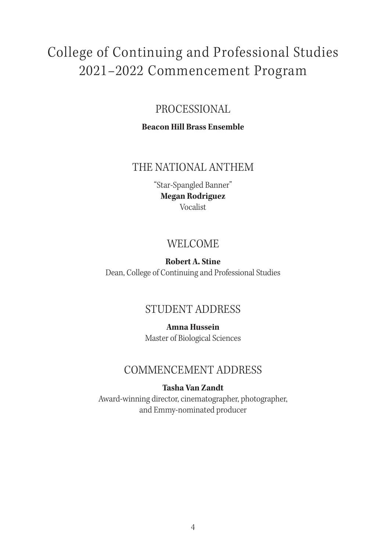### College of Continuing and Professional Studies 2021–2022 Commencement Program

### PROCESSIONAL

#### **Beacon Hill Brass Ensemble**

### THE NATIONAL ANTHEM

"Star-Spangled Banner" **Megan Rodriguez** Vocalist

### WELCOME

**Robert A. Stine** Dean, College of Continuing and Professional Studies

### STUDENT ADDRESS

**Amna Hussein** Master of Biological Sciences

### COMMENCEMENT ADDRESS

#### **Tasha Van Zandt**

Award-winning director, cinematographer, photographer, and Emmy-nominated producer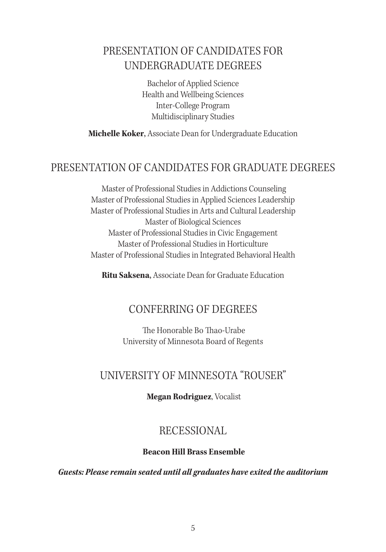### PRESENTATION OF CANDIDATES FOR UNDERGRADUATE DEGREES

Bachelor of Applied Science Health and Wellbeing Sciences Inter-College Program Multidisciplinary Studies

**Michelle Koker**, Associate Dean for Undergraduate Education

### PRESENTATION OF CANDIDATES FOR GRADUATE DEGREES

 Master of Professional Studies in Addictions Counseling Master of Professional Studies in Applied Sciences Leadership Master of Professional Studies in Arts and Cultural Leadership Master of Biological Sciences Master of Professional Studies in Civic Engagement Master of Professional Studies in Horticulture Master of Professional Studies in Integrated Behavioral Health

**Ritu Saksena**, Associate Dean for Graduate Education

### CONFERRING OF DEGREES

 The Honorable Bo Thao-Urabe University of Minnesota Board of Regents

### UNIVERSITY OF MINNESOTA "ROUSER"

**Megan Rodriguez**, Vocalist

### RECESSIONAL

#### **Beacon Hill Brass Ensemble**

#### *Guests: Please remain seated until all graduates have exited the auditorium*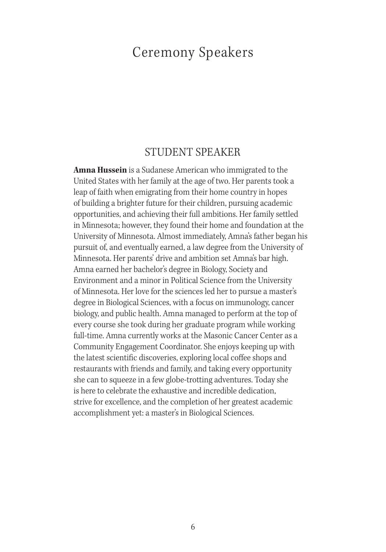### Ceremony Speakers

#### STUDENT SPEAKER

**Amna Hussein** is a Sudanese American who immigrated to the United States with her family at the age of two. Her parents took a leap of faith when emigrating from their home country in hopes of building a brighter future for their children, pursuing academic opportunities, and achieving their full ambitions. Her family settled in Minnesota; however, they found their home and foundation at the University of Minnesota. Almost immediately, Amna's father began his pursuit of, and eventually earned, a law degree from the University of Minnesota. Her parents' drive and ambition set Amna's bar high. Amna earned her bachelor's degree in Biology, Society and Environment and a minor in Political Science from the University of Minnesota. Her love for the sciences led her to pursue a master's degree in Biological Sciences, with a focus on immunology, cancer biology, and public health. Amna managed to perform at the top of every course she took during her graduate program while working full-time. Amna currently works at the Masonic Cancer Center as a Community Engagement Coordinator. She enjoys keeping up with the latest scientific discoveries, exploring local coffee shops and restaurants with friends and family, and taking every opportunity she can to squeeze in a few globe-trotting adventures. Today she is here to celebrate the exhaustive and incredible dedication, strive for excellence, and the completion of her greatest academic accomplishment yet: a master's in Biological Sciences.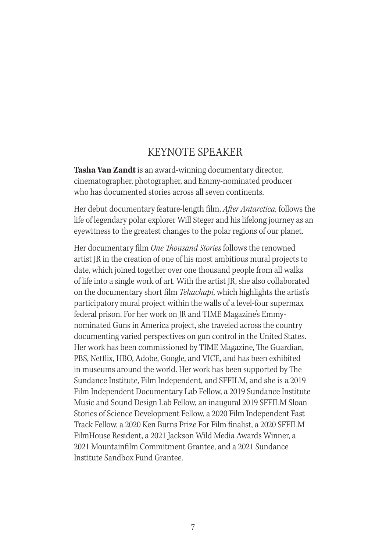### KEYNOTE SPEAKER

**Tasha Van Zandt** is an award-winning documentary director, cinematographer, photographer, and Emmy-nominated producer who has documented stories across all seven continents.

Her debut documentary feature-length film, *After Antarctica,* follows the life of legendary polar explorer Will Steger and his lifelong journey as an eyewitness to the greatest changes to the polar regions of our planet.

Her documentary film *One Thousand Stories* follows the renowned artist JR in the creation of one of his most ambitious mural projects to date, which joined together over one thousand people from all walks of life into a single work of art. With the artist JR, she also collaborated on the documentary short film *Tehachapi*, which highlights the artist's participatory mural project within the walls of a level-four supermax federal prison. For her work on JR and TIME Magazine's Emmynominated Guns in America project, she traveled across the country documenting varied perspectives on gun control in the United States. Her work has been commissioned by TIME Magazine, The Guardian, PBS, Netflix, HBO, Adobe, Google, and VICE, and has been exhibited in museums around the world. Her work has been supported by The Sundance Institute, Film Independent, and SFFILM, and she is a 2019 Film Independent Documentary Lab Fellow, a 2019 Sundance Institute Music and Sound Design Lab Fellow, an inaugural 2019 SFFILM Sloan Stories of Science Development Fellow, a 2020 Film Independent Fast Track Fellow, a 2020 Ken Burns Prize For Film finalist, a 2020 SFFILM FilmHouse Resident, a 2021 Jackson Wild Media Awards Winner, a 2021 Mountainfilm Commitment Grantee, and a 2021 Sundance Institute Sandbox Fund Grantee.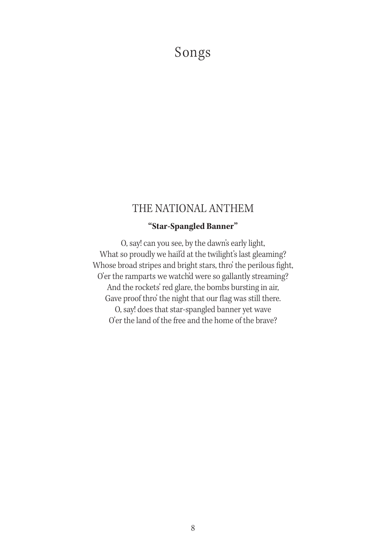### Songs

### THE NATIONAL ANTHEM

### **"Star-Spangled Banner"**

O, say! can you see, by the dawn's early light, What so proudly we hail'd at the twilight's last gleaming? Whose broad stripes and bright stars, thro' the perilous fight, O'er the ramparts we watch'd were so gallantly streaming? And the rockets' red glare, the bombs bursting in air, Gave proof thro' the night that our flag was still there. O, say! does that star-spangled banner yet wave O'er the land of the free and the home of the brave?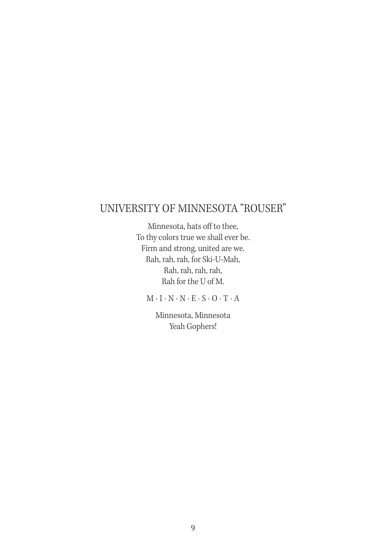### UNIVERSITY OF MINNESOTA "ROUSER"

Minnesota, hats off to thee, To thy colors true we shall ever be. Firm and strong, united are we. Rah, rah, rah, for Ski-U-Mah, Rah, rah, rah, rah, Rah for the U of M.

 $M \cdot I \cdot N \cdot N \cdot E \cdot S \cdot O \cdot T \cdot A$ 

Minnesota, Minnesota Yeah Gophers!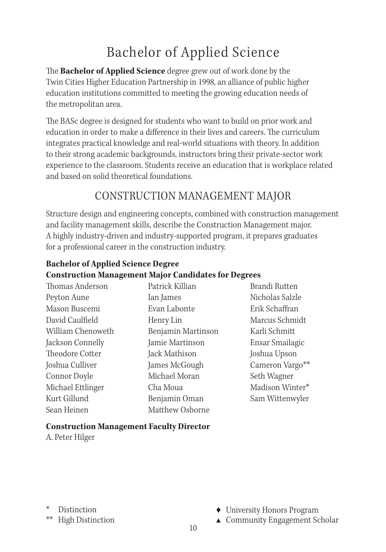## Bachelor of Applied Science

The **Bachelor of Applied Science** degree grew out of work done by the Twin Cities Higher Education Partnership in 1998, an alliance of public higher education institutions committed to meeting the growing education needs of the metropolitan area.

The BASc degree is designed for students who want to build on prior work and education in order to make a difference in their lives and careers. The curriculum integrates practical knowledge and real-world situations with theory. In addition to their strong academic backgrounds, instructors bring their private-sector work experience to the classroom. Students receive an education that is workplace related and based on solid theoretical foundations.

### CONSTRUCTION MANAGEMENT MAJOR

Structure design and engineering concepts, combined with construction management and facility management skills, describe the Construction Management major. A highly industry-driven and industry-supported program, it prepares graduates for a professional career in the construction industry.

#### **Bachelor of Applied Science Degree Construction Management Major Candidates for Degrees**

| Thomas Anderson   | Patrick Killian    | Brandi Rutten   |
|-------------------|--------------------|-----------------|
| Peyton Aune       | Ian James          | Nicholas Salzle |
| Mason Buscemi     | Evan Labonte       | Erik Schaffran  |
| David Caulfield   | Henry Lin          | Marcus Schmidt  |
| William Chenoweth | Benjamin Martinson | Karli Schmitt   |
| Jackson Connelly  | Jamie Martinson    | Ensar Smailagic |
| Theodore Cotter   | Jack Mathison      | Joshua Upson    |
| Joshua Culliver   | James McGough      | Cameron Vargo** |
| Connor Doyle      | Michael Moran      | Seth Wagner     |
| Michael Ettlinger | Cha Moua           | Madison Winter* |
| Kurt Gillund      | Benjamin Oman      | Sam Wittenwyler |
| Sean Heinen       | Matthew Osborne    |                 |

#### **Construction Management Faculty Director**

A. Peter Hilger

Distinction

\*\* High Distinction

- ♦ University Honors Program
- ▲ Community Engagement Scholar 10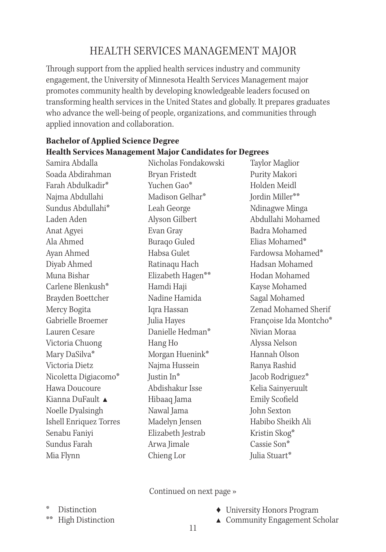### HEALTH SERVICES MANAGEMENT MAJOR

Through support from the applied health services industry and community engagement, the University of Minnesota Health Services Management major promotes community health by developing knowledgeable leaders focused on transforming health services in the United States and globally. It prepares graduates who advance the well-being of people, organizations, and communities through applied innovation and collaboration.

| <b>Health Services Management Major Candidates for Degrees</b> |                      |                        |  |
|----------------------------------------------------------------|----------------------|------------------------|--|
| Samira Abdalla                                                 | Nicholas Fondakowski | <b>Taylor Maglior</b>  |  |
| Soada Abdirahman                                               | Bryan Fristedt       | Purity Makori          |  |
| Farah Abdulkadir*                                              | Yuchen Gao*          | Holden Meidl           |  |
| Najma Abdullahi                                                | Madison Gelhar*      | Jordin Miller**        |  |
| Sundus Abdullahi*                                              | Leah George          | Ndinagwe Minga         |  |
| Laden Aden                                                     | Alyson Gilbert       | Abdullahi Mohamed      |  |
| Anat Agyei                                                     | Evan Gray            | Badra Mohamed          |  |
| Ala Ahmed                                                      | Buraqo Guled         | Elias Mohamed*         |  |
| Ayan Ahmed                                                     | Habsa Gulet          | Fardowsa Mohamed*      |  |
| Diyab Ahmed                                                    | Ratinaqu Hach        | Hadsan Mohamed         |  |
| Muna Bishar                                                    | Elizabeth Hagen**    | Hodan Mohamed          |  |
| Carlene Blenkush*                                              | Hamdi Haji           | Kayse Mohamed          |  |
| Brayden Boettcher                                              | Nadine Hamida        | Sagal Mohamed          |  |
| Mercy Bogita                                                   | Iqra Hassan          | Zenad Mohamed Sherif   |  |
| Gabrielle Broemer                                              | Julia Hayes          | Françoise Ida Montcho* |  |
| Lauren Cesare                                                  | Danielle Hedman*     | Nivian Moraa           |  |
| Victoria Chuong                                                | Hang Ho              | Alyssa Nelson          |  |
| Mary DaSilva*                                                  | Morgan Huenink*      | Hannah Olson           |  |
| Victoria Dietz                                                 | Najma Hussein        | Ranya Rashid           |  |
| Nicoletta Digiacomo*                                           | Justin In*           | Jacob Rodriguez*       |  |
| Hawa Doucoure                                                  | Abdishakur Isse      | Kelia Sainyeruult      |  |
| Kianna DuFault ▲                                               | Hibaaq Jama          | Emily Scofield         |  |
| Noelle Dyalsingh                                               | Nawal Jama           | John Sexton            |  |
| Ishell Enriquez Torres                                         | Madelyn Jensen       | Habibo Sheikh Ali      |  |
| Senabu Faniyi                                                  | Elizabeth Jestrab    | Kristin Skog*          |  |
| Sundus Farah                                                   | Arwa Jimale          | Cassie Son*            |  |
| Mia Flynn                                                      | Chieng Lor           | Julia Stuart*          |  |

# **Bachelor of Applied Science Degree**

Continued on next page »

- \* Distinction
- \*\* High Distinction
- ♦ University Honors Program
- ▲ Community Engagement Scholar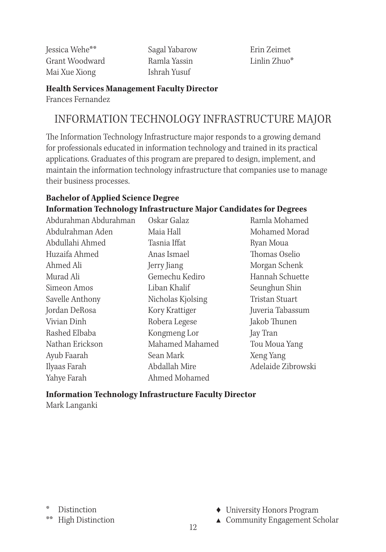Jessica Wehe\*\* Grant Woodward Mai Xue Xiong

Sagal Yabarow Ramla Yassin Ishrah Yusuf

Erin Zeimet Linlin Zhuo\*

**Health Services Management Faculty Director** Frances Fernandez

### INFORMATION TECHNOLOGY INFRASTRUCTURE MAJOR

The Information Technology Infrastructure major responds to a growing demand for professionals educated in information technology and trained in its practical applications. Graduates of this program are prepared to design, implement, and maintain the information technology infrastructure that companies use to manage their business processes.

#### **Bachelor of Applied Science Degree Information Technology Infrastructure Major Candidates for Degrees**

| Abdurahman Abdurahman | Oskar Galaz       | Ramla Mohamed      |
|-----------------------|-------------------|--------------------|
| Abdulrahman Aden      | Maia Hall         | Mohamed Morad      |
| Abdullahi Ahmed       | Tasnia Iffat      | Ryan Moua          |
| Huzaifa Ahmed         | Anas Ismael       | Thomas Oselio      |
| Ahmed Ali             | Jerry Jiang       | Morgan Schenk      |
| Murad Ali             | Gemechu Kediro    | Hannah Schuette    |
| Simeon Amos           | Liban Khalif      | Seunghun Shin      |
| Savelle Anthony       | Nicholas Kjolsing | Tristan Stuart     |
| Jordan DeRosa         | Kory Krattiger    | Juveria Tabassum   |
| Vivian Dinh           | Robera Legese     | Jakob Thunen       |
| Rashed Elbaba         | Kongmeng Lor      | Jay Tran           |
| Nathan Erickson       | Mahamed Mahamed   | Tou Moua Yang      |
| Ayub Faarah           | Sean Mark         | Xeng Yang          |
| Ilyaas Farah          | Abdallah Mire     | Adelaide Zibrowski |
| Yahye Farah           | Ahmed Mohamed     |                    |
|                       |                   |                    |

### **Information Technology Infrastructure Faculty Director**

Mark Langanki

\* Distinction

\*\* High Distinction

- ♦ University Honors Program
- ▲ Community Engagement Scholar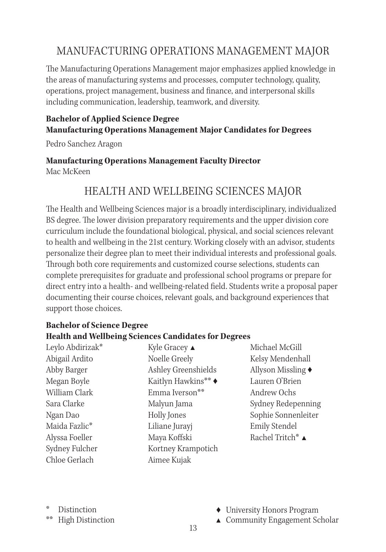### MANUFACTURING OPERATIONS MANAGEMENT MAJOR

The Manufacturing Operations Management major emphasizes applied knowledge in the areas of manufacturing systems and processes, computer technology, quality, operations, project management, business and finance, and interpersonal skills including communication, leadership, teamwork, and diversity.

### **Bachelor of Applied Science Degree Manufacturing Operations Management Major Candidates for Degrees**

Pedro Sanchez Aragon

#### **Manufacturing Operations Management Faculty Director**  Mac McKeen

### HEALTH AND WELLBEING SCIENCES MAJOR

The Health and Wellbeing Sciences major is a broadly interdisciplinary, individualized BS degree. The lower division preparatory requirements and the upper division core curriculum include the foundational biological, physical, and social sciences relevant to health and wellbeing in the 21st century. Working closely with an advisor, students personalize their degree plan to meet their individual interests and professional goals. Through both core requirements and customized course selections, students can complete prerequisites for graduate and professional school programs or prepare for direct entry into a health- and wellbeing-related field. Students write a proposal paper documenting their course choices, relevant goals, and background experiences that support those choices.

### **Bachelor of Science Degree Health and Wellbeing Sciences Candidates for Degrees**

| Kyle Gracey $\triangle$ | Michael McGill      |
|-------------------------|---------------------|
| Noelle Greely           | Kelsy Mendenhall    |
| Ashley Greenshields     | Allyson Missling ♦  |
| Kaitlyn Hawkins** ◆     | Lauren O'Brien      |
| Emma Iverson**          | Andrew Ochs         |
| Malyun Jama             | Sydney Redepenning  |
| Holly Jones             | Sophie Sonnenleiter |
| Liliane Jurayj          | Emily Stendel       |
| Maya Koffski            | Rachel Tritch* ▲    |
| Kortney Krampotich      |                     |
| Aimee Kujak             |                     |
|                         |                     |

**Distinction** 

\*\* High Distinction

- ♦ University Honors Program
- ▲ Community Engagement Scholar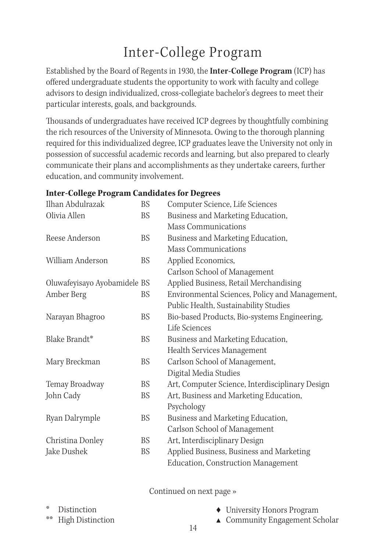## Inter-College Program

Established by the Board of Regents in 1930, the **Inter-College Program** (ICP) has offered undergraduate students the opportunity to work with faculty and college advisors to design individualized, cross-collegiate bachelor's degrees to meet their particular interests, goals, and backgrounds.

Thousands of undergraduates have received ICP degrees by thoughtfully combining the rich resources of the University of Minnesota. Owing to the thorough planning required for this individualized degree, ICP graduates leave the University not only in possession of successful academic records and learning, but also prepared to clearly communicate their plans and accomplishments as they undertake careers, further education, and community involvement.

| Ilhan Abdulrazak             | <b>BS</b> | Computer Science, Life Sciences                 |
|------------------------------|-----------|-------------------------------------------------|
| Olivia Allen                 | <b>BS</b> | Business and Marketing Education,               |
|                              |           | Mass Communications                             |
| Reese Anderson               | <b>BS</b> | Business and Marketing Education,               |
|                              |           | Mass Communications                             |
| William Anderson             | <b>BS</b> | Applied Economics,                              |
|                              |           | Carlson School of Management                    |
| Oluwafeyisayo Ayobamidele BS |           | Applied Business, Retail Merchandising          |
| Amber Berg                   | BS        | Environmental Sciences, Policy and Management,  |
|                              |           | Public Health, Sustainability Studies           |
| Narayan Bhagroo              | <b>BS</b> | Bio-based Products, Bio-systems Engineering,    |
|                              |           | Life Sciences                                   |
| Blake Brandt*                | <b>BS</b> | Business and Marketing Education,               |
|                              |           | Health Services Management                      |
| Mary Breckman                | <b>BS</b> | Carlson School of Management,                   |
|                              |           | Digital Media Studies                           |
| Temay Broadway               | <b>BS</b> | Art, Computer Science, Interdisciplinary Design |
| John Cady                    | <b>BS</b> | Art, Business and Marketing Education,          |
|                              |           | Psychology                                      |
| Ryan Dalrymple               | BS        | Business and Marketing Education,               |
|                              |           | Carlson School of Management                    |
| Christina Donley             | BS        | Art, Interdisciplinary Design                   |
| Jake Dushek                  | <b>BS</b> | Applied Business, Business and Marketing        |
|                              |           | Education, Construction Management              |

### **Inter-College Program Candidates for Degrees**

Continued on next page »

- **Distinction**
- \*\* High Distinction
- ♦ University Honors Program
- ▲ Community Engagement Scholar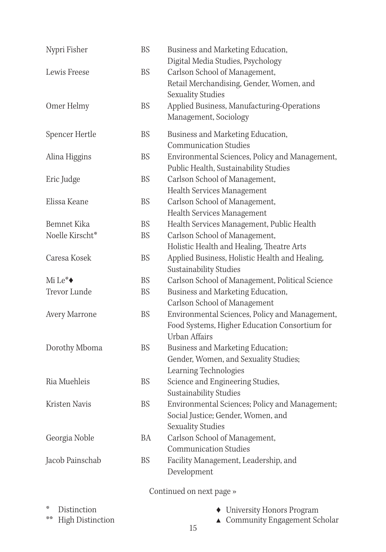| Nypri Fisher                 | BS        | Business and Marketing Education,<br>Digital Media Studies, Psychology                                           |
|------------------------------|-----------|------------------------------------------------------------------------------------------------------------------|
| Lewis Freese                 | BS        | Carlson School of Management,<br>Retail Merchandising, Gender, Women, and<br>Sexuality Studies                   |
| Omer Helmy                   | <b>BS</b> | Applied Business, Manufacturing-Operations<br>Management, Sociology                                              |
| Spencer Hertle               | BS        | Business and Marketing Education,<br><b>Communication Studies</b>                                                |
| Alina Higgins                | <b>BS</b> | Environmental Sciences, Policy and Management,<br>Public Health, Sustainability Studies                          |
| Eric Judge                   | BS        | Carlson School of Management,<br>Health Services Management                                                      |
| Elissa Keane                 | BS        | Carlson School of Management,<br>Health Services Management                                                      |
| Bemnet Kika                  | BS        | Health Services Management, Public Health                                                                        |
| Noelle Kirscht*              | BS        | Carlson School of Management,                                                                                    |
|                              |           | Holistic Health and Healing, Theatre Arts                                                                        |
| Caresa Kosek                 | BS        | Applied Business, Holistic Health and Healing,<br>Sustainability Studies                                         |
| Mi Le* $\bullet$             | BS        | Carlson School of Management, Political Science                                                                  |
| <b>Trevor Lunde</b>          | BS        | Business and Marketing Education,<br>Carlson School of Management                                                |
| Avery Marrone                | <b>BS</b> | Environmental Sciences, Policy and Management,<br>Food Systems, Higher Education Consortium for<br>Urban Affairs |
| Dorothy Mboma                | BS        | Business and Marketing Education;<br>Gender, Women, and Sexuality Studies;<br>Learning Technologies              |
| Ria Muehleis                 | <b>BS</b> | Science and Engineering Studies,<br>Sustainability Studies                                                       |
| Kristen Navis                | <b>BS</b> | Environmental Sciences; Policy and Management;<br>Social Justice; Gender, Women, and<br>Sexuality Studies        |
| Georgia Noble                | BA        | Carlson School of Management,<br><b>Communication Studies</b>                                                    |
| Jacob Painschab              | <b>BS</b> | Facility Management, Leadership, and<br>Development                                                              |
|                              |           | Continued on next page »                                                                                         |
| $\mathcal{S}$<br>Distinction |           | • University Honors Program                                                                                      |

\*\* High Distinction

▲ Community Engagement Scholar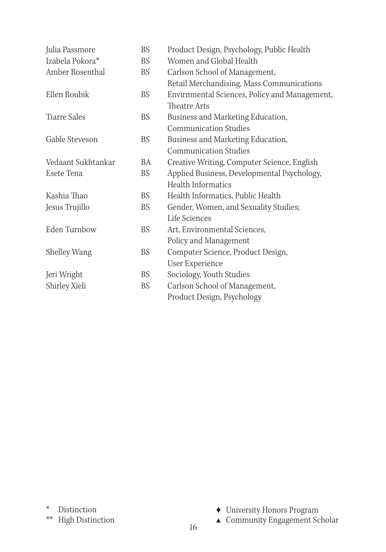| Julia Passmore     | <b>BS</b> | Product Design, Psychology, Public Health     |
|--------------------|-----------|-----------------------------------------------|
| Izabela Pokora*    | BS        | Women and Global Health                       |
| Amber Rosenthal    | BS        | Carlson School of Management,                 |
|                    |           | Retail Merchandising, Mass Communications     |
| Ellen Roubik       | BS        | Envirnmental Sciences, Policy and Management, |
|                    |           | Theatre Arts                                  |
| Tiarre Sales       | BS        | Business and Marketing Education,             |
|                    |           | Communication Studies                         |
| Gable Steveson     | BS        | Business and Marketing Education,             |
|                    |           | <b>Communication Studies</b>                  |
| Vedaant Sukhtankar | BA        | Creative Writing, Computer Science, English   |
| Esete Tena         | BS        | Applied Business, Developmental Psychology,   |
|                    |           | Health Informatics                            |
| Kashia Thao        | <b>BS</b> | Health Informatics, Public Health             |
| Jesus Trujillo     | BS        | Gender, Women, and Sexuality Studies;         |
|                    |           | Life Sciences                                 |
| Eden Turnbow       | BS        | Art, Environmental Sciences,                  |
|                    |           | Policy and Management                         |
| Shelley Wang       | <b>BS</b> | Computer Science, Product Design,             |
|                    |           | User Experience                               |
| Jeri Wright        | BS        | Sociology, Youth Studies                      |
| Shirley Xieli      | BS        | Carlson School of Management,                 |
|                    |           | Product Design, Psychology                    |

\* Distinction

\*\* High Distinction

- ♦ University Honors Program
- ▲ Community Engagement Scholar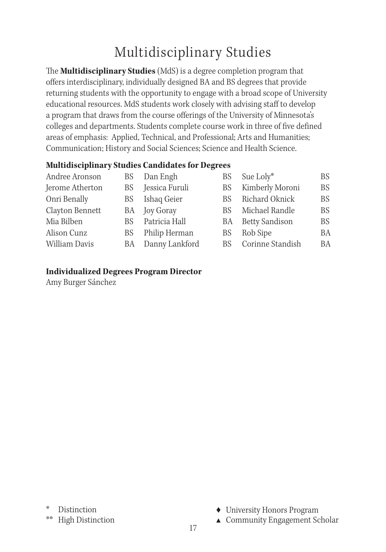## Multidisciplinary Studies

The **Multidisciplinary Studies** (MdS) is a degree completion program that offers interdisciplinary, individually designed BA and BS degrees that provide returning students with the opportunity to engage with a broad scope of University educational resources. MdS students work closely with advising staff to develop a program that draws from the course offerings of the University of Minnesota's colleges and departments. Students complete course work in three of five defined areas of emphasis: Applied, Technical, and Professional; Arts and Humanities; Communication; History and Social Sciences; Science and Health Science.

#### **Multidisciplinary Studies Candidates for Degrees**

| Andree Aronson  | BS | Dan Engh            | BS  | Sue Loly*           | BS        |
|-----------------|----|---------------------|-----|---------------------|-----------|
| Jerome Atherton |    | BS Jessica Furuli   | ΒS  | Kimberly Moroni     | <b>BS</b> |
| Onri Benally    | BS | Ishaq Geier         | BS. | Richard Oknick      | <b>BS</b> |
| Clayton Bennett |    | <b>BA Joy Goray</b> | BS. | Michael Randle      | <b>BS</b> |
| Mia Bilben      |    | BS Patricia Hall    |     | BA Betty Sandison   | <b>BS</b> |
| Alison Cunz     | BS | Philip Herman       | ΒS  | Rob Sipe            | BA        |
| William Davis   | BA | Danny Lankford      |     | BS Corinne Standish | ΒA        |

#### **Individualized Degrees Program Director**

Amy Burger Sánchez

Distinction

\*\* High Distinction

- ♦ University Honors Program
- ▲ Community Engagement Scholar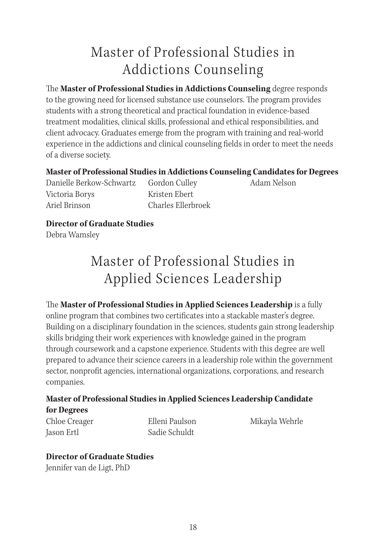## Master of Professional Studies in Addictions Counseling

The **Master of Professional Studies in Addictions Counseling** degree responds to the growing need for licensed substance use counselors. The program provides students with a strong theoretical and practical foundation in evidence-based treatment modalities, clinical skills, professional and ethical responsibilities, and client advocacy. Graduates emerge from the program with training and real-world experience in the addictions and clinical counseling fields in order to meet the needs of a diverse society.

#### **Master of Professional Studies in Addictions Counseling Candidates for Degrees**

Danielle Berkow-Schwartz Victoria Borys Ariel Brinson

Gordon Culley Kristen Ebert Charles Ellerbroek Adam Nelson

**Director of Graduate Studies**

Debra Wamsley

## Master of Professional Studies in Applied Sciences Leadership

The **Master of Professional Studies in Applied Sciences Leadership** is a fully online program that combines two certificates into a stackable master's degree. Building on a disciplinary foundation in the sciences, students gain strong leadership skills bridging their work experiences with knowledge gained in the program through coursework and a capstone experience. Students with this degree are well prepared to advance their science careers in a leadership role within the government sector, nonprofit agencies, international organizations, corporations, and research companies.

### **Master of Professional Studies in Applied Sciences Leadership Candidate for Degrees**

Chloe Creager Jason Ertl

Elleni Paulson Sadie Schuldt

Mikayla Wehrle

### **Director of Graduate Studies**

Jennifer van de Ligt, PhD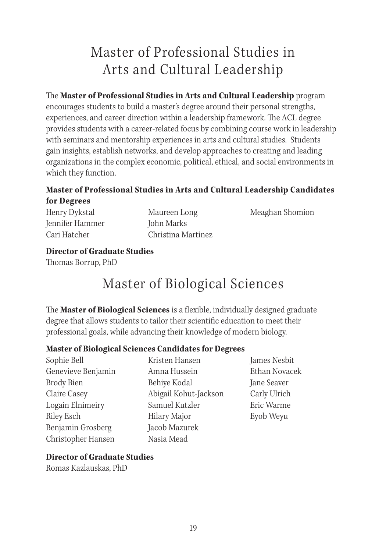## Master of Professional Studies in Arts and Cultural Leadership

The **Master of Professional Studies in Arts and Cultural Leadership** program encourages students to build a master's degree around their personal strengths, experiences, and career direction within a leadership framework. The ACL degree provides students with a career-related focus by combining course work in leadership with seminars and mentorship experiences in arts and cultural studies. Students gain insights, establish networks, and develop approaches to creating and leading organizations in the complex economic, political, ethical, and social environments in which they function.

#### **Master of Professional Studies in Arts and Cultural Leadership Candidates for Degrees**

| Henry Dykstal   | Maureen Long       | Meaghan Shomion |
|-----------------|--------------------|-----------------|
| Jennifer Hammer | John Marks         |                 |
| Cari Hatcher    | Christina Martinez |                 |

#### **Director of Graduate Studies**

Thomas Borrup, PhD

### Master of Biological Sciences

The **Master of Biological Sciences** is a flexible, individually designed graduate degree that allows students to tailor their scientific education to meet their professional goals, while advancing their knowledge of modern biology.

#### **Master of Biological Sciences Candidates for Degrees**

| Sophie Bell        | Kristen Hansen        | James Nesbit  |
|--------------------|-----------------------|---------------|
| Genevieve Benjamin | Amna Hussein          | Ethan Novacek |
| Brody Bien         | Behiye Kodal          | Jane Seaver   |
| Claire Casey       | Abigail Kohut-Jackson | Carly Ulrich  |
| Logain Elnimeiry   | Samuel Kutzler        | Eric Warme    |
| Riley Esch         | Hilary Major          | Eyob Weyu     |
| Benjamin Grosberg  | Jacob Mazurek         |               |
| Christopher Hansen | Nasia Mead            |               |

#### **Director of Graduate Studies**

Romas Kazlauskas, PhD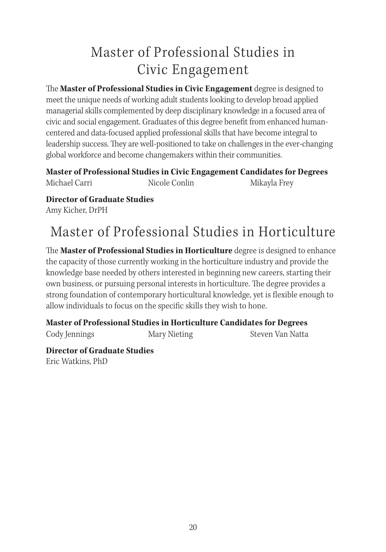## Master of Professional Studies in Civic Engagement

The **Master of Professional Studies in Civic Engagement** degree is designed to meet the unique needs of working adult students looking to develop broad applied managerial skills complemented by deep disciplinary knowledge in a focused area of civic and social engagement. Graduates of this degree benefit from enhanced humancentered and data-focused applied professional skills that have become integral to leadership success. They are well-positioned to take on challenges in the ever-changing global workforce and become changemakers within their communities.

**Master of Professional Studies in Civic Engagement Candidates for Degrees** Michael Carri Nicole Conlin Mikayla Frey

**Director of Graduate Studies**  Amy Kicher, DrPH

## Master of Professional Studies in Horticulture

The **Master of Professional Studies in Horticulture** degree is designed to enhance the capacity of those currently working in the horticulture industry and provide the knowledge base needed by others interested in beginning new careers, starting their own business, or pursuing personal interests in horticulture. The degree provides a strong foundation of contemporary horticultural knowledge, yet is flexible enough to allow individuals to focus on the specific skills they wish to hone.

**Master of Professional Studies in Horticulture Candidates for Degrees** Cody Jennings Mary Nieting Steven Van Natta

**Director of Graduate Studies**  Eric Watkins, PhD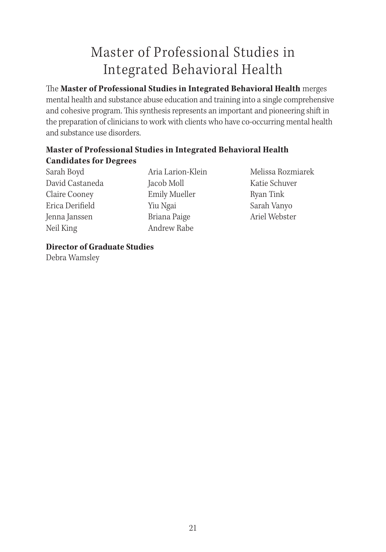## Master of Professional Studies in Integrated Behavioral Health

The **Master of Professional Studies in Integrated Behavioral Health** merges mental health and substance abuse education and training into a single comprehensive and cohesive program. This synthesis represents an important and pioneering shift in the preparation of clinicians to work with clients who have co-occurring mental health and substance use disorders.

#### **Master of Professional Studies in Integrated Behavioral Health Candidates for Degrees**

Sarah Boyd David Castaneda Claire Cooney Erica Derifield Jenna Janssen Neil King

Aria Larion-Klein Jacob Moll Emily Mueller Yiu Ngai Briana Paige Andrew Rabe

Melissa Rozmiarek Katie Schuver Ryan Tink Sarah Vanyo Ariel Webster

#### **Director of Graduate Studies**

Debra Wamsley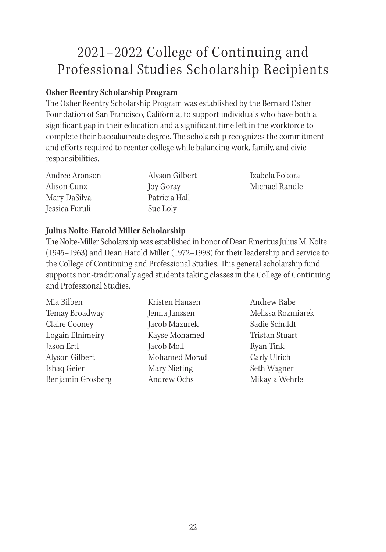### **Osher Reentry Scholarship Program**

The Osher Reentry Scholarship Program was established by the Bernard Osher Foundation of San Francisco, California, to support individuals who have both a significant gap in their education and a significant time left in the workforce to complete their baccalaureate degree. The scholarship recognizes the commitment and efforts required to reenter college while balancing work, family, and civic responsibilities.

| Andree Aronson |  |
|----------------|--|
| Alison Cunz    |  |
| Mary DaSilva   |  |
| Jessica Furuli |  |

Alyson Gilbert Joy Goray Patricia Hall Sue Loly

Izabela Pokora Michael Randle

#### **Julius Nolte-Harold Miller Scholarship**

The Nolte-Miller Scholarship was established in honor of Dean Emeritus Julius M. Nolte (1945–1963) and Dean Harold Miller (1972–1998) for their leadership and service to the College of Continuing and Professional Studies. This general scholarship fund supports non-traditionally aged students taking classes in the College of Continuing and Professional Studies.

| Mia Bilben        | Kriste |
|-------------------|--------|
| Temay Broadway    | Jenna  |
| Claire Cooney     | Jacob  |
| Logain Elnimeiry  | Kayse  |
| Jason Ertl        | Jacob  |
| Alyson Gilbert    | Moha   |
| Ishaq Geier       | Mary   |
| Benjamin Grosberg | Andre  |
|                   |        |

Kristen Hansen **Janssen** Jacob Mazurek Mohamed Moll med Morad Nieting ew Ochs

Andrew Rabe Melissa Rozmiarek Sadie Schuldt Tristan Stuart Ryan Tink Carly Ulrich Seth Wagner Mikayla Wehrle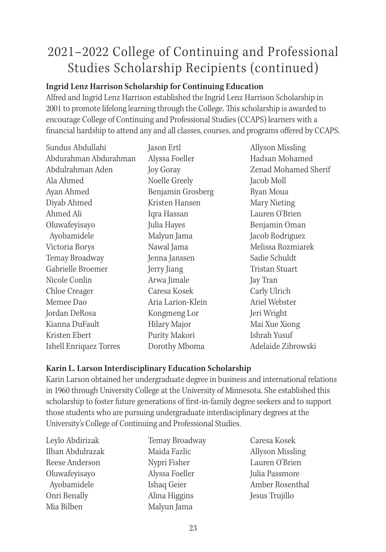#### **Ingrid Lenz Harrison Scholarship for Continuing Education**

Alfred and Ingrid Lenz Harrison established the Ingrid Lenz Harrison Scholarship in 2001 to promote lifelong learning through the College. This scholarship is awarded to encourage College of Continuing and Professional Studies (CCAPS) learners with a financial hardship to attend any and all classes, courses, and programs offered by CCAPS.

| Jason Ertl        | Allyson Missling     |
|-------------------|----------------------|
| Alyssa Foeller    | Hadsan Mohamed       |
| Joy Goray         | Zenad Mohamed Sherif |
| Noelle Greely     | Jacob Moll           |
| Benjamin Grosberg | Ryan Moua            |
| Kristen Hansen    | Mary Nieting         |
| Iqra Hassan       | Lauren O'Brien       |
| Julia Hayes       | Benjamin Oman        |
| Malyun Jama       | Jacob Rodriguez      |
| Nawal Jama        | Melissa Rozmiarek    |
| Jenna Janssen     | Sadie Schuldt        |
| Jerry Jiang       | Tristan Stuart       |
| Arwa Jimale       | Jay Tran             |
| Caresa Kosek      | Carly Ulrich         |
| Aria Larion-Klein | Ariel Webster        |
| Kongmeng Lor      | Jeri Wright          |
| Hilary Major      | Mai Xue Xiong        |
| Purity Makori     | Ishrah Yusuf         |
| Dorothy Mboma     | Adelaide Zibrowski   |
|                   |                      |

### **Karin L. Larson Interdisciplinary Education Scholarship**

Karin Larson obtained her undergraduate degree in business and international relations in 1960 through University College at the University of Minnesota. She established this scholarship to foster future generations of first-in-family degree seekers and to support those students who are pursuing undergraduate interdisciplinary degrees at the University's College of Continuing and Professional Studies.

| Leylo Abdirizak  | Temay Broadway |
|------------------|----------------|
| Ilhan Abdulrazak | Maida Fazlic   |
| Reese Anderson   | Nypri Fisher   |
| Oluwafeyisayo    | Alyssa Foeller |
| Ayobamidele      | Ishaq Geier    |
| Onri Benally     | Alina Higgins  |
| Mia Bilben       | Malyun Jama    |

Caresa Kosek Allyson Missling Lauren O'Brien Julia Passmore Amber Rosenthal Jesus Trujillo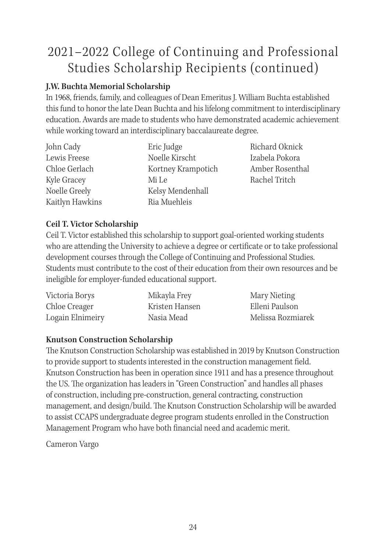### **J.W. Buchta Memorial Scholarship**

In 1968, friends, family, and colleagues of Dean Emeritus J. William Buchta established this fund to honor the late Dean Buchta and his lifelong commitment to interdisciplinary education. Awards are made to students who have demonstrated academic achievement while working toward an interdisciplinary baccalaureate degree.

| John Cady       | Eric Judge         |
|-----------------|--------------------|
| Lewis Freese    | Noelle Kirscht     |
| Chloe Gerlach   | Kortney Krampotich |
| Kyle Gracey     | Mi Le              |
| Noelle Greely   | Kelsy Mendenhall   |
| Kaitlyn Hawkins | Ria Muehleis       |

Richard Oknick Izabela Pokora Amber Rosenthal Rachel Tritch

#### **Ceil T. Victor Scholarship**

Ceil T. Victor established this scholarship to support goal-oriented working students who are attending the University to achieve a degree or certificate or to take professional development courses through the College of Continuing and Professional Studies. Students must contribute to the cost of their education from their own resources and be ineligible for employer-funded educational support.

| Victoria Borys   | Mikayla Frey   | Mary Nieting      |
|------------------|----------------|-------------------|
| Chloe Creager    | Kristen Hansen | Elleni Paulson    |
| Logain Elnimeiry | Nasia Mead     | Melissa Rozmiarek |

#### **Knutson Construction Scholarship**

The Knutson Construction Scholarship was established in 2019 by Knutson Construction to provide support to students interested in the construction management field. Knutson Construction has been in operation since 1911 and has a presence throughout the US. The organization has leaders in "Green Construction" and handles all phases of construction, including pre-construction, general contracting, construction management, and design/build. The Knutson Construction Scholarship will be awarded to assist CCAPS undergraduate degree program students enrolled in the Construction Management Program who have both financial need and academic merit.

Cameron Vargo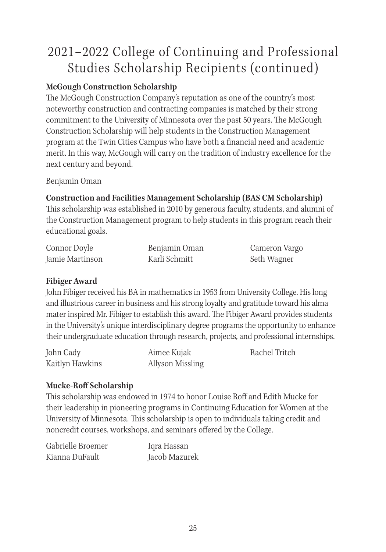### **McGough Construction Scholarship**

The McGough Construction Company's reputation as one of the country's most noteworthy construction and contracting companies is matched by their strong commitment to the University of Minnesota over the past 50 years. The McGough Construction Scholarship will help students in the Construction Management program at the Twin Cities Campus who have both a financial need and academic merit. In this way, McGough will carry on the tradition of industry excellence for the next century and beyond.

Benjamin Oman

#### **Construction and Facilities Management Scholarship (BAS CM Scholarship)**

This scholarship was established in 2010 by generous faculty, students, and alumni of the Construction Management program to help students in this program reach their educational goals.

| Connor Doyle    | Benjamin Oman | Cameron Vargo |
|-----------------|---------------|---------------|
| Jamie Martinson | Karli Schmitt | Seth Wagner   |

### **Fibiger Award**

John Fibiger received his BA in mathematics in 1953 from University College. His long and illustrious career in business and his strong loyalty and gratitude toward his alma mater inspired Mr. Fibiger to establish this award. The Fibiger Award provides students in the University's unique interdisciplinary degree programs the opportunity to enhance their undergraduate education through research, projects, and professional internships.

| John Cady       | Aimee Kujak      | Rachel Tritch |
|-----------------|------------------|---------------|
| Kaitlyn Hawkins | Allyson Missling |               |

### **Mucke-Roff Scholarship**

This scholarship was endowed in 1974 to honor Louise Roff and Edith Mucke for their leadership in pioneering programs in Continuing Education for Women at the University of Minnesota. This scholarship is open to individuals taking credit and noncredit courses, workshops, and seminars offered by the College.

| Gabrielle Broemer | Iqra Hassan   |
|-------------------|---------------|
| Kianna DuFault    | Jacob Mazurek |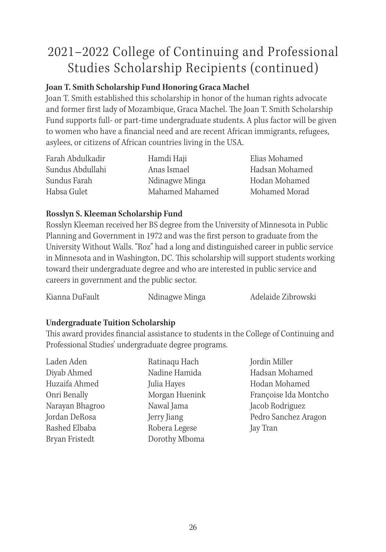### **Joan T. Smith Scholarship Fund Honoring Graca Machel**

Joan T. Smith established this scholarship in honor of the human rights advocate and former first lady of Mozambique, Graca Machel. The Joan T. Smith Scholarship Fund supports full- or part-time undergraduate students. A plus factor will be given to women who have a financial need and are recent African immigrants, refugees, asylees, or citizens of African countries living in the USA.

| Farah Abdulkadir | Hamdi Haji      | Elias Mohamed  |
|------------------|-----------------|----------------|
| Sundus Abdullahi | Anas Ismael     | Hadsan Mohamed |
| Sundus Farah     | Ndinagwe Minga  | Hodan Mohamed  |
| Habsa Gulet      | Mahamed Mahamed | Mohamed Morad  |

#### **Rosslyn S. Kleeman Scholarship Fund**

Rosslyn Kleeman received her BS degree from the University of Minnesota in Public Planning and Government in 1972 and was the first person to graduate from the University Without Walls. "Roz" had a long and distinguished career in public service in Minnesota and in Washington, DC. This scholarship will support students working toward their undergraduate degree and who are interested in public service and careers in government and the public sector.

| Kianna DuFault | Ndinagwe Minga | Adelaide Zibrowski |
|----------------|----------------|--------------------|
|----------------|----------------|--------------------|

### **Undergraduate Tuition Scholarship**

This award provides financial assistance to students in the College of Continuing and Professional Studies' undergraduate degree programs.

| Laden Aden      | Ratinaqu Hach  | Jordin Miller         |
|-----------------|----------------|-----------------------|
| Diyab Ahmed     | Nadine Hamida  | Hadsan Mohamed        |
| Huzaifa Ahmed   | Julia Hayes    | Hodan Mohamed         |
| Onri Benally    | Morgan Huenink | Françoise Ida Montcho |
| Narayan Bhagroo | Nawal Jama     | Jacob Rodriguez       |
| Jordan DeRosa   | Jerry Jiang    | Pedro Sanchez Aragon  |
| Rashed Elbaba   | Robera Legese  | Jay Tran              |
| Bryan Fristedt  | Dorothy Mboma  |                       |
|                 |                |                       |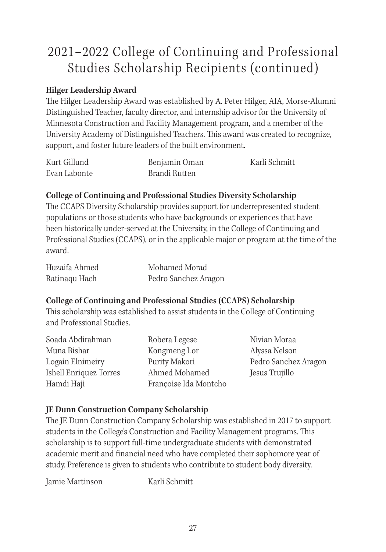### **Hilger Leadership Award**

The Hilger Leadership Award was established by A. Peter Hilger, AIA, Morse-Alumni Distinguished Teacher, faculty director, and internship advisor for the University of Minnesota Construction and Facility Management program, and a member of the University Academy of Distinguished Teachers. This award was created to recognize, support, and foster future leaders of the built environment.

| Kurt Gillund | Benjamin Oman | Karli Schmitt |
|--------------|---------------|---------------|
| Evan Labonte | Brandi Rutten |               |

### **College of Continuing and Professional Studies Diversity Scholarship**

The CCAPS Diversity Scholarship provides support for underrepresented student populations or those students who have backgrounds or experiences that have been historically under-served at the University, in the College of Continuing and Professional Studies (CCAPS), or in the applicable major or program at the time of the award.

| Huzaifa Ahmed | Mohamed Morad        |
|---------------|----------------------|
| Ratinaqu Hach | Pedro Sanchez Aragon |

### **College of Continuing and Professional Studies (CCAPS) Scholarship**

This scholarship was established to assist students in the College of Continuing and Professional Studies.

| Soada Abdirahman       | Robera Legese         | Nivian Moraa         |
|------------------------|-----------------------|----------------------|
| Muna Bishar            | Kongmeng Lor          | Alyssa Nelson        |
| Logain Elnimeiry       | Purity Makori         | Pedro Sanchez Aragon |
| Ishell Enriquez Torres | Ahmed Mohamed         | Jesus Trujillo       |
| Hamdi Haji             | Françoise Ida Montcho |                      |

### **JE Dunn Construction Company Scholarship**

The JE Dunn Construction Company Scholarship was established in 2017 to support students in the College's Construction and Facility Management programs. This scholarship is to support full-time undergraduate students with demonstrated academic merit and financial need who have completed their sophomore year of study. Preference is given to students who contribute to student body diversity.

Jamie Martinson Karli Schmitt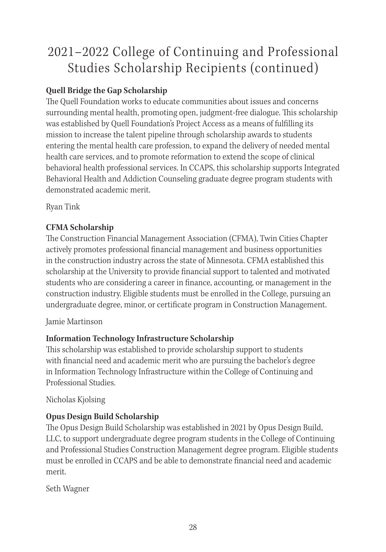### **Quell Bridge the Gap Scholarship**

The Quell Foundation works to educate communities about issues and concerns surrounding mental health, promoting open, judgment-free dialogue. This scholarship was established by Quell Foundation's Project Access as a means of fulfilling its mission to increase the talent pipeline through scholarship awards to students entering the mental health care profession, to expand the delivery of needed mental health care services, and to promote reformation to extend the scope of clinical behavioral health professional services. In CCAPS, this scholarship supports Integrated Behavioral Health and Addiction Counseling graduate degree program students with demonstrated academic merit.

Ryan Tink

### **CFMA Scholarship**

The Construction Financial Management Association (CFMA), Twin Cities Chapter actively promotes professional financial management and business opportunities in the construction industry across the state of Minnesota. CFMA established this scholarship at the University to provide financial support to talented and motivated students who are considering a career in finance, accounting, or management in the construction industry. Eligible students must be enrolled in the College, pursuing an undergraduate degree, minor, or certificate program in Construction Management.

### Jamie Martinson

### **Information Technology Infrastructure Scholarship**

This scholarship was established to provide scholarship support to students with financial need and academic merit who are pursuing the bachelor's degree in Information Technology Infrastructure within the College of Continuing and Professional Studies.

Nicholas Kjolsing

### **Opus Design Build Scholarship**

The Opus Design Build Scholarship was established in 2021 by Opus Design Build, LLC, to support undergraduate degree program students in the College of Continuing and Professional Studies Construction Management degree program. Eligible students must be enrolled in CCAPS and be able to demonstrate financial need and academic merit.

Seth Wagner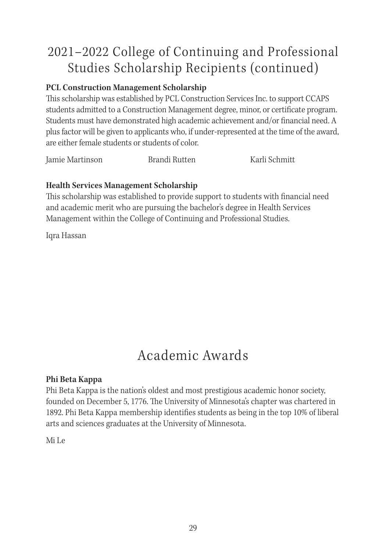### **PCL Construction Management Scholarship**

This scholarship was established by PCL Construction Services Inc. to support CCAPS students admitted to a Construction Management degree, minor, or certificate program. Students must have demonstrated high academic achievement and/or financial need. A plus factor will be given to applicants who, if under-represented at the time of the award, are either female students or students of color.

Jamie Martinson Brandi Rutten Karli Schmitt

#### **Health Services Management Scholarship**

This scholarship was established to provide support to students with financial need and academic merit who are pursuing the bachelor's degree in Health Services Management within the College of Continuing and Professional Studies.

Iqra Hassan

### Academic Awards

#### **Phi Beta Kappa**

Phi Beta Kappa is the nation's oldest and most prestigious academic honor society, founded on December 5, 1776. The University of Minnesota's chapter was chartered in 1892. Phi Beta Kappa membership identifies students as being in the top 10% of liberal arts and sciences graduates at the University of Minnesota.

Mi Le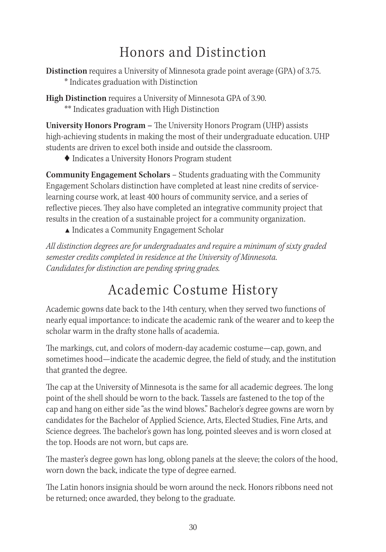## Honors and Distinction

**Distinction** requires a University of Minnesota grade point average (GPA) of 3.75. \* Indicates graduation with Distinction

**High Distinction** requires a University of Minnesota GPA of 3.90. \*\* Indicates graduation with High Distinction

**University Honors Program –** The University Honors Program (UHP) assists high-achieving students in making the most of their undergraduate education. UHP students are driven to excel both inside and outside the classroom.

♦ Indicates a University Honors Program student

**Community Engagement Scholars** – Students graduating with the Community Engagement Scholars distinction have completed at least nine credits of servicelearning course work, at least 400 hours of community service, and a series of reflective pieces. They also have completed an integrative community project that results in the creation of a sustainable project for a community organization.

▲ Indicates a Community Engagement Scholar

*All distinction degrees are for undergraduates and require a minimum of sixty graded semester credits completed in residence at the University of Minnesota. Candidates for distinction are pending spring grades.* 

## Academic Costume History

Academic gowns date back to the 14th century, when they served two functions of nearly equal importance: to indicate the academic rank of the wearer and to keep the scholar warm in the drafty stone halls of academia.

The markings, cut, and colors of modern-day academic costume—cap, gown, and sometimes hood—indicate the academic degree, the field of study, and the institution that granted the degree.

The cap at the University of Minnesota is the same for all academic degrees. The long point of the shell should be worn to the back. Tassels are fastened to the top of the cap and hang on either side "as the wind blows." Bachelor's degree gowns are worn by candidates for the Bachelor of Applied Science, Arts, Elected Studies, Fine Arts, and Science degrees. The bachelor's gown has long, pointed sleeves and is worn closed at the top. Hoods are not worn, but caps are.

The master's degree gown has long, oblong panels at the sleeve; the colors of the hood, worn down the back, indicate the type of degree earned.

The Latin honors insignia should be worn around the neck. Honors ribbons need not be returned; once awarded, they belong to the graduate.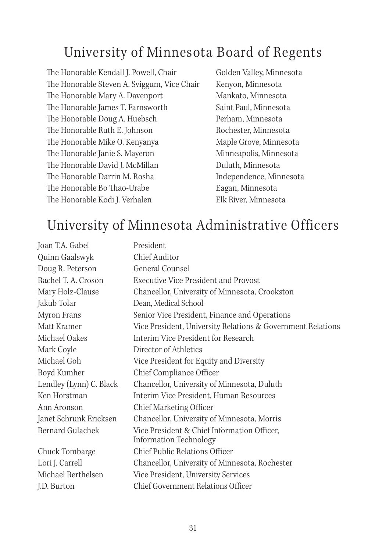### University of Minnesota Board of Regents

The Honorable Kendall J. Powell, Chair Golden Valley, Minnesota The Honorable Steven A. Sviggum, Vice Chair Kenyon, Minnesota The Honorable Mary A. Davenport Mankato, Minnesota The Honorable James T. Farnsworth Saint Paul, Minnesota The Honorable Doug A. Huebsch Perham, Minnesota The Honorable Ruth E. Johnson Rochester, Minnesota The Honorable Mike O. Kenyanya Maple Grove, Minnesota The Honorable Janie S. Mayeron Minneapolis, Minnesota The Honorable David J. McMillan Duluth, Minnesota The Honorable Darrin M. Rosha Independence, Minnesota The Honorable Bo Thao-Urabe Eagan, Minnesota The Honorable Kodi J. Verhalen Elk River, Minnesota

### University of Minnesota Administrative Officers

| Joan T.A. Gabel         | President                                                             |  |
|-------------------------|-----------------------------------------------------------------------|--|
| Quinn Gaalswyk          | Chief Auditor                                                         |  |
| Doug R. Peterson        | General Counsel                                                       |  |
| Rachel T. A. Croson     | <b>Executive Vice President and Provost</b>                           |  |
| Mary Holz-Clause        | Chancellor, University of Minnesota, Crookston                        |  |
| Jakub Tolar             | Dean, Medical School                                                  |  |
| Myron Frans             | Senior Vice President, Finance and Operations                         |  |
| Matt Kramer             | Vice President, University Relations & Government Relations           |  |
| Michael Oakes           | Interim Vice President for Research                                   |  |
| Mark Coyle              | Director of Athletics                                                 |  |
| Michael Goh             | Vice President for Equity and Diversity                               |  |
| Boyd Kumher             | Chief Compliance Officer                                              |  |
| Lendley (Lynn) C. Black | Chancellor, University of Minnesota, Duluth                           |  |
| Ken Horstman            | Interim Vice President, Human Resources                               |  |
| Ann Aronson             | Chief Marketing Officer                                               |  |
| Janet Schrunk Ericksen  | Chancellor, University of Minnesota, Morris                           |  |
| Bernard Gulachek        | Vice President & Chief Information Officer,<br>Information Technology |  |
| Chuck Tombarge          | Chief Public Relations Officer                                        |  |
| Lori J. Carrell         | Chancellor, University of Minnesota, Rochester                        |  |
| Michael Berthelsen      | Vice President, University Services                                   |  |
| J.D. Burton             | Chief Government Relations Officer                                    |  |
|                         |                                                                       |  |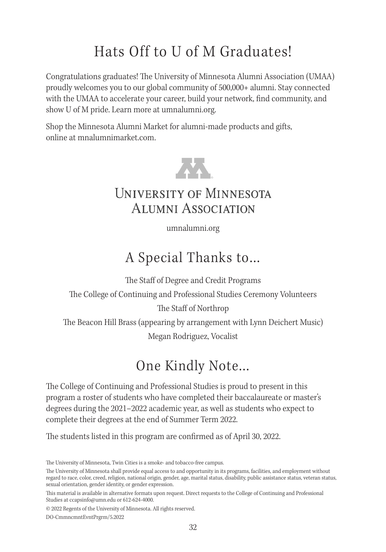## Hats Off to U of M Graduates!

Congratulations graduates! The University of Minnesota Alumni Association (UMAA) proudly welcomes you to our global community of 500,000+ alumni. Stay connected with the UMAA to accelerate your career, build your network, find community, and show U of M pride. Learn more at umnalumni.org.

Shop the Minnesota Alumni Market for alumni-made products and gifts, online at mnalumnimarket.com.



### UNIVERSITY OF MINNESOTA **ALUMNI ASSOCIATION**

umnalumni.org

### A Special Thanks to…

The Staff of Degree and Credit Programs

The College of Continuing and Professional Studies Ceremony Volunteers

### The Staff of Northrop

The Beacon Hill Brass (appearing by arrangement with Lynn Deichert Music) Megan Rodriguez, Vocalist

## One Kindly Note…

The College of Continuing and Professional Studies is proud to present in this program a roster of students who have completed their baccalaureate or master's degrees during the 2021–2022 academic year, as well as students who expect to complete their degrees at the end of Summer Term 2022.

The students listed in this program are confirmed as of April 30, 2022.

The University of Minnesota, Twin Cities is a smoke- and tobacco-free campus.

© 2022 Regents of the University of Minnesota. All rights reserved.

DO-CmmncmntEvntPrgrm/5.2022

The University of Minnesota shall provide equal access to and opportunity in its programs, facilities, and employment without regard to race, color, creed, religion, national origin, gender, age, marital status, disability, public assistance status, veteran status, sexual orientation, gender identity, or gender expression.

This material is available in alternative formats upon request. Direct requests to the College of Continuing and Professional Studies at ccapsinfo@umn.edu or 612-624-4000.